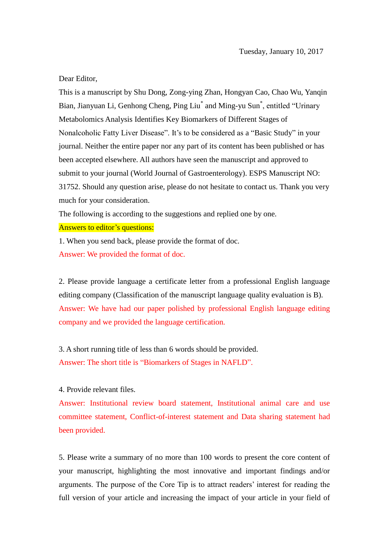## Dear Editor,

This is a manuscript by Shu Dong, Zong-ying Zhan, Hongyan Cao, Chao Wu, Yanqin Bian, Jianyuan Li, Genhong Cheng, Ping Liu<sup>\*</sup> and Ming-yu Sun<sup>\*</sup>, entitled "Urinary Metabolomics Analysis Identifies Key Biomarkers of Different Stages of Nonalcoholic Fatty Liver Disease". It's to be considered as a "Basic Study" in your journal. Neither the entire paper nor any part of its content has been published or has been accepted elsewhere. All authors have seen the manuscript and approved to submit to your journal (World Journal of Gastroenterology). ESPS Manuscript NO: 31752. Should any question arise, please do not hesitate to contact us. Thank you very much for your consideration.

The following is according to the suggestions and replied one by one.

## Answers to editor's questions:

1. When you send back, please provide the format of doc. Answer: We provided the format of doc.

2. Please provide language a certificate letter from a professional English language editing company (Classification of the manuscript language quality evaluation is B). Answer: We have had our paper polished by professional English language editing company and we provided the language certification.

3. A short running title of less than 6 words should be provided. Answer: The short title is "Biomarkers of Stages in NAFLD".

## 4. Provide relevant files.

Answer: Institutional review board statement, Institutional animal care and use committee statement, Conflict-of-interest statement and Data sharing statement had been provided.

5. Please write a summary of no more than 100 words to present the core content of your manuscript, highlighting the most innovative and important findings and/or arguments. The purpose of the Core Tip is to attract readers' interest for reading the full version of your article and increasing the impact of your article in your field of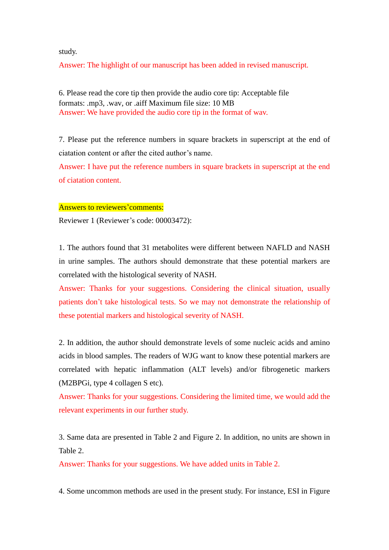study.

Answer: The highlight of our manuscript has been added in revised manuscript.

6. Please read the core tip then provide the audio core tip: Acceptable file formats: .mp3, .wav, or .aiff Maximum file size: 10 MB Answer: We have provided the audio core tip in the format of wav.

7. Please put the reference numbers in square brackets in superscript at the end of ciatation content or after the cited author's name.

Answer: I have put the reference numbers in square brackets in superscript at the end of ciatation content.

## Answers to reviewers'comments:

Reviewer 1 (Reviewer's code: 00003472):

1. The authors found that 31 metabolites were different between NAFLD and NASH in urine samples. The authors should demonstrate that these potential markers are correlated with the histological severity of NASH.

Answer: Thanks for your suggestions. Considering the clinical situation, usually patients don't take histological tests. So we may not demonstrate the relationship of these potential markers and histological severity of NASH.

2. In addition, the author should demonstrate levels of some nucleic acids and amino acids in blood samples. The readers of WJG want to know these potential markers are correlated with hepatic inflammation (ALT levels) and/or fibrogenetic markers (M2BPGi, type 4 collagen S etc).

Answer: Thanks for your suggestions. Considering the limited time, we would add the relevant experiments in our further study.

3. Same data are presented in Table 2 and Figure 2. In addition, no units are shown in Table 2.

Answer: Thanks for your suggestions. We have added units in Table 2.

4. Some uncommon methods are used in the present study. For instance, ESI in Figure